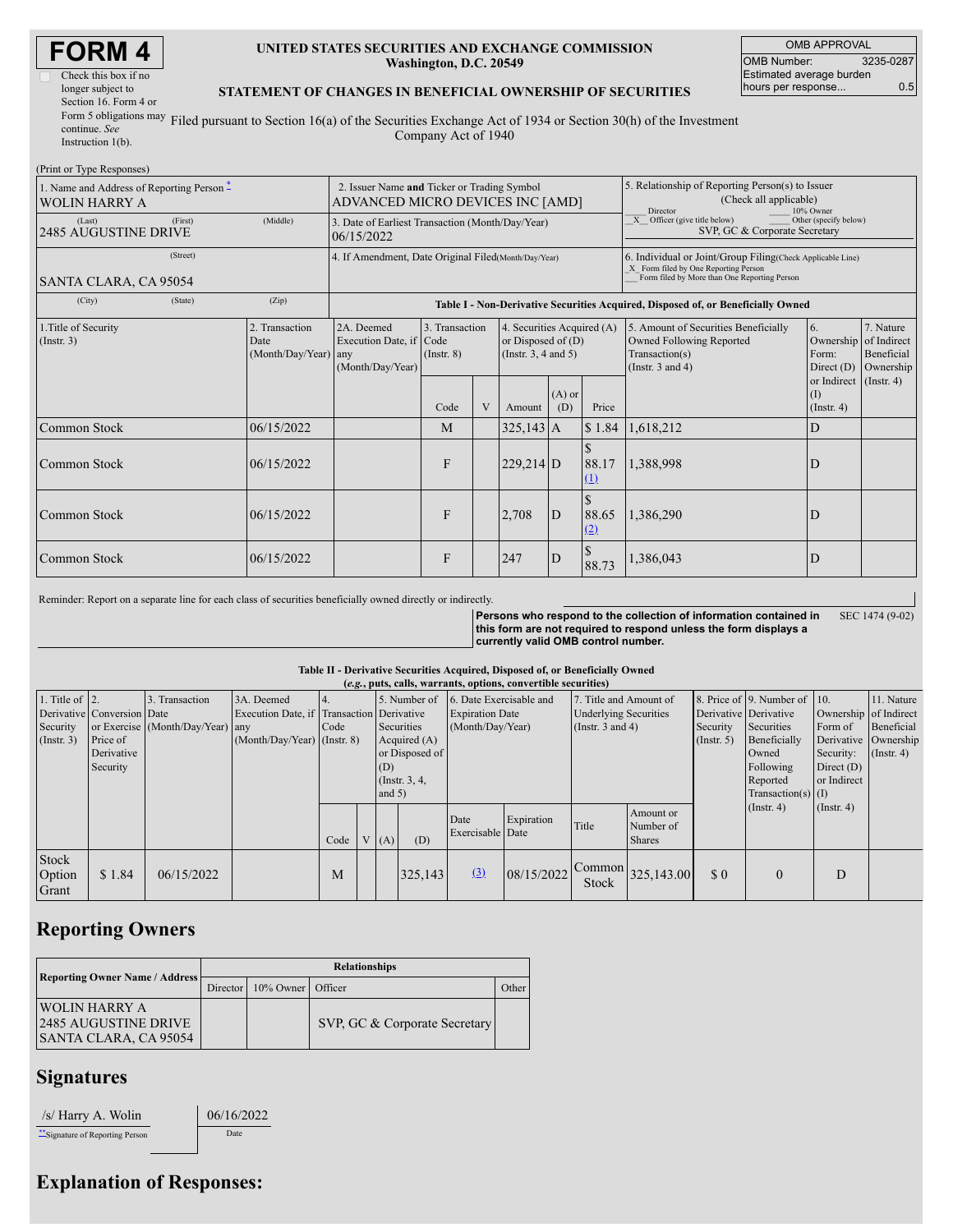| ORM |
|-----|
|-----|

| Check this box if no   |
|------------------------|
|                        |
| Section 16. Form 4 or  |
| Form 5 obligations may |
|                        |
|                        |
|                        |

(Drint or Type Responses)

#### **UNITED STATES SECURITIES AND EXCHANGE COMMISSION Washington, D.C. 20549**

OMB APPROVAL OMB Number: 3235-0287 Estimated average burden hours per response... 0.5

### **STATEMENT OF CHANGES IN BENEFICIAL OWNERSHIP OF SECURITIES**

Filed pursuant to Section 16(a) of the Securities Exchange Act of 1934 or Section 30(h) of the Investment Company Act of 1940

| THIIL OF TYPE INSPOISES!                                   |                                                |                                                                                  |                                   |   |                                                                                |                 |              |                                                                                                                                                                                                                |                                                   |  |  |
|------------------------------------------------------------|------------------------------------------------|----------------------------------------------------------------------------------|-----------------------------------|---|--------------------------------------------------------------------------------|-----------------|--------------|----------------------------------------------------------------------------------------------------------------------------------------------------------------------------------------------------------------|---------------------------------------------------|--|--|
| 1. Name and Address of Reporting Person -<br>WOLIN HARRY A |                                                | 2. Issuer Name and Ticker or Trading Symbol<br>ADVANCED MICRO DEVICES INC [AMD]  |                                   |   |                                                                                |                 |              | 5. Relationship of Reporting Person(s) to Issuer<br>(Check all applicable)<br>10% Owner<br>Director                                                                                                            |                                                   |  |  |
| (First)<br>(Last)<br><b>2485 AUGUSTINE DRIVE</b>           | (Middle)                                       | 3. Date of Earliest Transaction (Month/Day/Year)<br>06/15/2022                   |                                   |   |                                                                                |                 |              | $X$ Officer (give title below)<br>Other (specify below)<br>SVP, GC & Corporate Secretary                                                                                                                       |                                                   |  |  |
| (Street)<br>SANTA CLARA, CA 95054                          |                                                | 4. If Amendment, Date Original Filed(Month/Day/Year)                             |                                   |   |                                                                                |                 |              | 6. Individual or Joint/Group Filing(Check Applicable Line)<br>X_ Form filed by One Reporting Person<br>Form filed by More than One Reporting Person                                                            |                                                   |  |  |
| (City)<br>(State)                                          | (Zip)                                          | Table I - Non-Derivative Securities Acquired, Disposed of, or Beneficially Owned |                                   |   |                                                                                |                 |              |                                                                                                                                                                                                                |                                                   |  |  |
| 1. Title of Security<br>(Insert. 3)                        | 2. Transaction<br>Date<br>(Month/Day/Year) any | 2A. Deemed<br>Execution Date, if Code<br>(Month/Day/Year)                        | 3. Transaction<br>$($ Instr. $8)$ |   | 4. Securities Acquired (A)<br>or Disposed of $(D)$<br>(Instr. $3, 4$ and $5$ ) |                 |              | 6.<br>7. Nature<br>5. Amount of Securities Beneficially<br>Owned Following Reported<br>Ownership<br>of Indirect<br>Transaction(s)<br>Beneficial<br>Form:<br>(Instr. $3$ and $4$ )<br>Direct $(D)$<br>Ownership |                                                   |  |  |
|                                                            |                                                |                                                                                  | Code                              | V | Amount                                                                         | $(A)$ or<br>(D) | Price        |                                                                                                                                                                                                                | or Indirect (Instr. 4)<br>(1)<br>$($ Instr. 4 $)$ |  |  |
| Common Stock                                               | 06/15/2022                                     |                                                                                  | M                                 |   | $325,143$ A                                                                    |                 | \$1.84       | 1,618,212                                                                                                                                                                                                      | D                                                 |  |  |
| <b>Common Stock</b>                                        | 06/15/2022                                     |                                                                                  | F                                 |   | $229,214$ D                                                                    |                 | 88.17<br>(1) | 1,388,998                                                                                                                                                                                                      | D                                                 |  |  |
| Common Stock                                               | 06/15/2022                                     |                                                                                  | F                                 |   | 2,708                                                                          | D               | 88.65<br>(2) | 1,386,290                                                                                                                                                                                                      |                                                   |  |  |
| Common Stock                                               | 06/15/2022                                     |                                                                                  | F                                 |   | 247                                                                            | $\mathbf{D}$    | 88.73        | 1,386,043                                                                                                                                                                                                      | D                                                 |  |  |

Reminder: Report on a separate line for each class of securities beneficially owned directly or indirectly.

**Persons who respond to the collection of information contained in this form are not required to respond unless the form displays a currently valid OMB control number.** SEC 1474 (9-02)

**Table II - Derivative Securities Acquired, Disposed of, or Beneficially Owned**

| (e.g., puts, calls, warrants, options, convertible securities) |                            |                                  |                                           |      |  |                 |                |                         |            |                              |                                  |                       |                              |                       |                      |
|----------------------------------------------------------------|----------------------------|----------------------------------|-------------------------------------------|------|--|-----------------|----------------|-------------------------|------------|------------------------------|----------------------------------|-----------------------|------------------------------|-----------------------|----------------------|
| 1. Title of $ 2$ .                                             |                            | 3. Transaction                   | 3A. Deemed                                |      |  | 5. Number of    |                | 6. Date Exercisable and |            | 7. Title and Amount of       |                                  |                       | 8. Price of 9. Number of 10. |                       | 11. Nature           |
|                                                                | Derivative Conversion Date |                                  | Execution Date, if Transaction Derivative |      |  |                 |                | <b>Expiration Date</b>  |            | <b>Underlying Securities</b> |                                  | Derivative Derivative |                              | Ownership of Indirect |                      |
| Security                                                       |                            | or Exercise (Month/Day/Year) any |                                           | Code |  | Securities      |                | (Month/Day/Year)        |            | (Instr. $3$ and $4$ )        |                                  | Security              | Securities                   | Form of               | Beneficial           |
| $($ Instr. 3)                                                  | Price of                   |                                  | $(Month/Day/Year)$ (Instr. 8)             |      |  | Acquired $(A)$  |                |                         |            |                              |                                  | $($ Instr. 5 $)$      | Beneficially                 |                       | Derivative Ownership |
|                                                                | Derivative                 |                                  |                                           |      |  |                 | or Disposed of |                         |            |                              |                                  |                       | Owned                        | Security:             | $($ Instr. 4 $)$     |
|                                                                | Security                   |                                  |                                           |      |  | (D)             |                |                         |            |                              |                                  |                       | Following                    | Direct $(D)$          |                      |
|                                                                |                            |                                  |                                           |      |  | (Instr. $3, 4,$ |                |                         |            |                              |                                  |                       | Reported                     | or Indirect           |                      |
|                                                                |                            |                                  |                                           |      |  | and $5)$        |                |                         |            |                              |                                  |                       | Transaction(s) $(I)$         |                       |                      |
|                                                                |                            |                                  |                                           |      |  |                 |                |                         |            |                              | Amount or                        |                       | $($ Instr. 4 $)$             | $($ Instr. 4 $)$      |                      |
|                                                                |                            |                                  |                                           |      |  |                 |                | Date                    | Expiration | Title                        | Number of                        |                       |                              |                       |                      |
|                                                                |                            |                                  |                                           | Code |  | (A)             | (D)            | Exercisable Date        |            |                              | <b>Shares</b>                    |                       |                              |                       |                      |
|                                                                |                            |                                  |                                           |      |  |                 |                |                         |            |                              |                                  |                       |                              |                       |                      |
| Stock                                                          |                            |                                  |                                           |      |  |                 |                |                         |            |                              |                                  |                       |                              |                       |                      |
| Option                                                         | \$1.84                     | 06/15/2022                       |                                           | M    |  |                 | 325,143        | (3)                     | 08/15/2022 | Stock                        | $\bigcap_{12}$ Common 325,143.00 | \$0                   | $\theta$                     | D                     |                      |
| Grant                                                          |                            |                                  |                                           |      |  |                 |                |                         |            |                              |                                  |                       |                              |                       |                      |

### **Reporting Owners**

| <b>Reporting Owner Name / Address</b>                                        | <b>Relationships</b> |                   |                               |       |  |  |  |
|------------------------------------------------------------------------------|----------------------|-------------------|-------------------------------|-------|--|--|--|
|                                                                              | Director             | 10% Owner Officer |                               | Other |  |  |  |
| <b>WOLIN HARRY A</b><br><b>2485 AUGUSTINE DRIVE</b><br>SANTA CLARA, CA 95054 |                      |                   | SVP, GC & Corporate Secretary |       |  |  |  |

## **Signatures**

/s/ Harry A. Wolin 06/16/2022

\*\*Signature of Reporting Person Date

# **Explanation of Responses:**